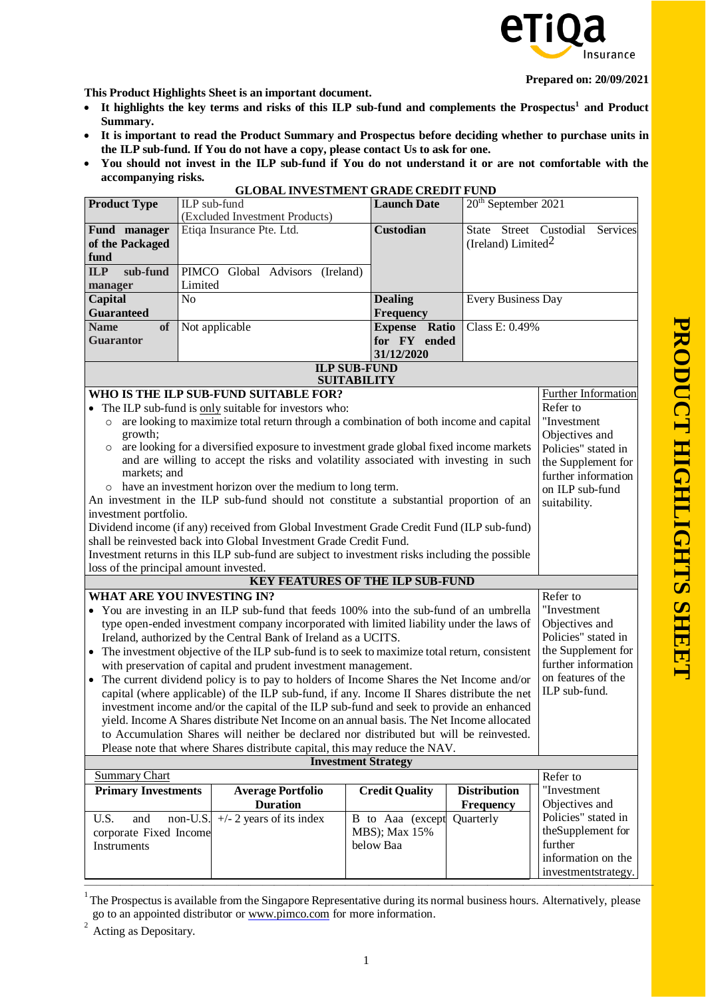

**Prepared on: 20/09/2021**

**This Product Highlights Sheet is an important document.**

- **It highlights the key terms and risks of this ILP sub-fund and complements the Prospectu[s](#page-0-0)<sup>1</sup> and Product Summary.**
- **It is important to read the Product Summary and Prospectus before deciding whether to purchase units in the ILP sub-fund. If You do not have a copy, please contact Us to ask for one.**
- **You should not invest in the ILP sub-fund if You do not understand it or are not comfortable with the accompanying risks.**

| <b>Product Type</b>                                                                                             |          | ILP sub-fund                                                                                   |                     | <b>Launch Date</b>    | 20 <sup>th</sup> September 2021 |                                           |
|-----------------------------------------------------------------------------------------------------------------|----------|------------------------------------------------------------------------------------------------|---------------------|-----------------------|---------------------------------|-------------------------------------------|
|                                                                                                                 |          | (Excluded Investment Products)                                                                 |                     |                       |                                 |                                           |
| Fund manager                                                                                                    |          | Etiqa Insurance Pte. Ltd.                                                                      |                     | Custodian             | State Street Custodial          | Services                                  |
| of the Packaged                                                                                                 |          |                                                                                                |                     |                       | (Ireland) Limited $\frac{2}{3}$ |                                           |
| fund                                                                                                            |          |                                                                                                |                     |                       |                                 |                                           |
| sub-fund<br><b>ILP</b>                                                                                          |          | PIMCO Global Advisors<br>(Ireland)                                                             |                     |                       |                                 |                                           |
| manager                                                                                                         | Limited  |                                                                                                |                     |                       |                                 |                                           |
| Capital<br>N <sub>0</sub>                                                                                       |          |                                                                                                |                     | <b>Dealing</b>        | Every Business Day              |                                           |
| <b>Guaranteed</b>                                                                                               |          |                                                                                                |                     | Frequency             |                                 |                                           |
| <b>Name</b><br><b>of</b>                                                                                        |          | Not applicable                                                                                 |                     | <b>Expense Ratio</b>  | Class E: 0.49%                  |                                           |
| <b>Guarantor</b>                                                                                                |          |                                                                                                |                     | for FY ended          |                                 |                                           |
|                                                                                                                 |          |                                                                                                |                     | 31/12/2020            |                                 |                                           |
|                                                                                                                 |          |                                                                                                | <b>ILP SUB-FUND</b> |                       |                                 |                                           |
|                                                                                                                 |          |                                                                                                | <b>SUITABILITY</b>  |                       |                                 |                                           |
|                                                                                                                 |          | WHO IS THE ILP SUB-FUND SUITABLE FOR?                                                          |                     |                       |                                 | Further Information                       |
|                                                                                                                 |          | The ILP sub-fund is only suitable for investors who:                                           |                     |                       |                                 | Refer to                                  |
| $\circ$                                                                                                         |          | are looking to maximize total return through a combination of both income and capital          |                     |                       |                                 | "Investment                               |
| growth;                                                                                                         |          | are looking for a diversified exposure to investment grade global fixed income markets         |                     |                       |                                 | Objectives and                            |
| $\circ$                                                                                                         |          | and are willing to accept the risks and volatility associated with investing in such           |                     |                       |                                 | Policies" stated in                       |
| markets; and                                                                                                    |          |                                                                                                |                     |                       |                                 | the Supplement for<br>further information |
|                                                                                                                 |          | have an investment horizon over the medium to long term.                                       |                     |                       |                                 | on ILP sub-fund                           |
|                                                                                                                 |          | An investment in the ILP sub-fund should not constitute a substantial proportion of an         |                     |                       |                                 | suitability.                              |
| investment portfolio.                                                                                           |          |                                                                                                |                     |                       |                                 |                                           |
|                                                                                                                 |          | Dividend income (if any) received from Global Investment Grade Credit Fund (ILP sub-fund)      |                     |                       |                                 |                                           |
|                                                                                                                 |          | shall be reinvested back into Global Investment Grade Credit Fund.                             |                     |                       |                                 |                                           |
|                                                                                                                 |          | Investment returns in this ILP sub-fund are subject to investment risks including the possible |                     |                       |                                 |                                           |
| loss of the principal amount invested.                                                                          |          |                                                                                                |                     |                       |                                 |                                           |
|                                                                                                                 |          | <b>KEY FEATURES OF THE ILP SUB-FUND</b>                                                        |                     |                       |                                 |                                           |
| WHAT ARE YOU INVESTING IN?                                                                                      |          |                                                                                                |                     |                       |                                 | Refer to                                  |
|                                                                                                                 |          | • You are investing in an ILP sub-fund that feeds 100% into the sub-fund of an umbrella        |                     |                       |                                 | "Investment                               |
|                                                                                                                 |          | type open-ended investment company incorporated with limited liability under the laws of       |                     |                       |                                 | Objectives and                            |
| Ireland, authorized by the Central Bank of Ireland as a UCITS.                                                  |          |                                                                                                |                     |                       | Policies" stated in             |                                           |
| The investment objective of the ILP sub-fund is to seek to maximize total return, consistent<br>$\bullet$       |          |                                                                                                |                     | the Supplement for    |                                 |                                           |
| with preservation of capital and prudent investment management.                                                 |          |                                                                                                |                     |                       | further information             |                                           |
| on features of the<br>• The current dividend policy is to pay to holders of Income Shares the Net Income and/or |          |                                                                                                |                     |                       |                                 |                                           |
| ILP sub-fund.<br>capital (where applicable) of the ILP sub-fund, if any. Income II Shares distribute the net    |          |                                                                                                |                     |                       |                                 |                                           |
| investment income and/or the capital of the ILP sub-fund and seek to provide an enhanced                        |          |                                                                                                |                     |                       |                                 |                                           |
| yield. Income A Shares distribute Net Income on an annual basis. The Net Income allocated                       |          |                                                                                                |                     |                       |                                 |                                           |
| to Accumulation Shares will neither be declared nor distributed but will be reinvested.                         |          |                                                                                                |                     |                       |                                 |                                           |
| Please note that where Shares distribute capital, this may reduce the NAV.                                      |          |                                                                                                |                     |                       |                                 |                                           |
| <b>Investment Strategy</b><br><b>Summary Chart</b>                                                              |          |                                                                                                |                     |                       |                                 |                                           |
|                                                                                                                 |          |                                                                                                |                     |                       | <b>Distribution</b>             | Refer to<br>"Investment                   |
| <b>Primary Investments</b>                                                                                      |          | <b>Average Portfolio</b><br><b>Duration</b>                                                    |                     | <b>Credit Quality</b> |                                 | Objectives and                            |
| U.S.<br>and                                                                                                     | non-U.S. | $+/- 2$ years of its index                                                                     |                     | B to Aaa (except      | <b>Frequency</b><br>Quarterly   | Policies" stated in                       |
| corporate Fixed Income                                                                                          |          |                                                                                                |                     | MBS); Max 15%         |                                 | theSupplement for                         |
| Instruments                                                                                                     |          |                                                                                                | below Baa           |                       |                                 | further                                   |
|                                                                                                                 |          |                                                                                                |                     |                       |                                 | information on the                        |
|                                                                                                                 |          |                                                                                                |                     |                       |                                 | investmentstrategy.                       |
|                                                                                                                 |          |                                                                                                |                     |                       |                                 |                                           |

## **GLOBAL INVESTMENT GRADE CREDIT FUND**

<span id="page-0-0"></span><sup>————————————————————————————————————————————————</sup> 1 The Prospectusis available from the Singapore Representative during its normal business hours. Alternatively, please go to an appointed distributor or [www.pimco.com](http://www.pimco.com/) for more information. 2 Acting as Depositary.

<span id="page-0-1"></span>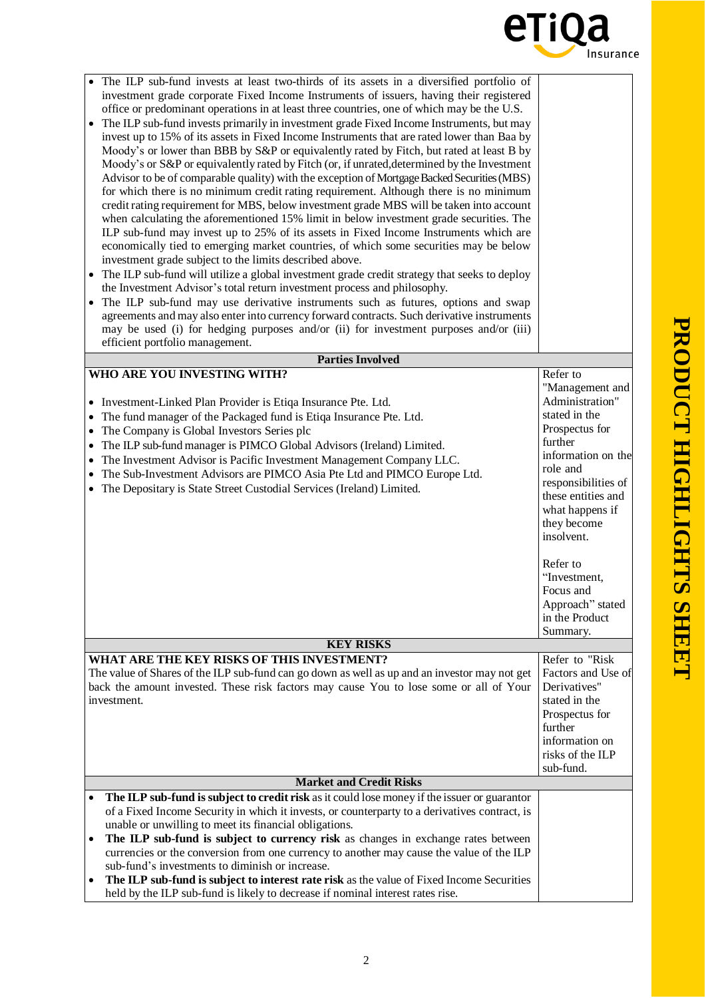

| The ILP sub-fund invests at least two-thirds of its assets in a diversified portfolio of<br>investment grade corporate Fixed Income Instruments of issuers, having their registered<br>office or predominant operations in at least three countries, one of which may be the U.S.<br>The ILP sub-fund invests primarily in investment grade Fixed Income Instruments, but may<br>$\bullet$<br>invest up to 15% of its assets in Fixed Income Instruments that are rated lower than Baa by<br>Moody's or lower than BBB by S&P or equivalently rated by Fitch, but rated at least B by<br>Moody's or S&P or equivalently rated by Fitch (or, if unrated, determined by the Investment<br>Advisor to be of comparable quality) with the exception of Mortgage Backed Securities (MBS)<br>for which there is no minimum credit rating requirement. Although there is no minimum<br>credit rating requirement for MBS, below investment grade MBS will be taken into account<br>when calculating the aforementioned 15% limit in below investment grade securities. The<br>ILP sub-fund may invest up to 25% of its assets in Fixed Income Instruments which are<br>economically tied to emerging market countries, of which some securities may be below<br>investment grade subject to the limits described above.<br>The ILP sub-fund will utilize a global investment grade credit strategy that seeks to deploy<br>the Investment Advisor's total return investment process and philosophy.<br>The ILP sub-fund may use derivative instruments such as futures, options and swap<br>agreements and may also enter into currency forward contracts. Such derivative instruments<br>may be used (i) for hedging purposes and/or (ii) for investment purposes and/or (iii)<br>efficient portfolio management. |                                                                                                                                                                                                                                                                                                                        |
|-------------------------------------------------------------------------------------------------------------------------------------------------------------------------------------------------------------------------------------------------------------------------------------------------------------------------------------------------------------------------------------------------------------------------------------------------------------------------------------------------------------------------------------------------------------------------------------------------------------------------------------------------------------------------------------------------------------------------------------------------------------------------------------------------------------------------------------------------------------------------------------------------------------------------------------------------------------------------------------------------------------------------------------------------------------------------------------------------------------------------------------------------------------------------------------------------------------------------------------------------------------------------------------------------------------------------------------------------------------------------------------------------------------------------------------------------------------------------------------------------------------------------------------------------------------------------------------------------------------------------------------------------------------------------------------------------------------------------------------------------------------------------------------------------------------|------------------------------------------------------------------------------------------------------------------------------------------------------------------------------------------------------------------------------------------------------------------------------------------------------------------------|
| <b>Parties Involved</b>                                                                                                                                                                                                                                                                                                                                                                                                                                                                                                                                                                                                                                                                                                                                                                                                                                                                                                                                                                                                                                                                                                                                                                                                                                                                                                                                                                                                                                                                                                                                                                                                                                                                                                                                                                                     |                                                                                                                                                                                                                                                                                                                        |
| WHO ARE YOU INVESTING WITH?<br>• Investment-Linked Plan Provider is Etiqa Insurance Pte. Ltd.<br>• The fund manager of the Packaged fund is Etiqa Insurance Pte. Ltd.<br>• The Company is Global Investors Series plc<br>• The ILP sub-fund manager is PIMCO Global Advisors (Ireland) Limited.<br>• The Investment Advisor is Pacific Investment Management Company LLC.<br>• The Sub-Investment Advisors are PIMCO Asia Pte Ltd and PIMCO Europe Ltd.<br>• The Depositary is State Street Custodial Services (Ireland) Limited.                                                                                                                                                                                                                                                                                                                                                                                                                                                                                                                                                                                                                                                                                                                                                                                                                                                                                                                                                                                                                                                                                                                                                                                                                                                                           | Refer to<br>"Management and<br>Administration"<br>stated in the<br>Prospectus for<br>further<br>information on the<br>role and<br>responsibilities of<br>these entities and<br>what happens if<br>they become<br>insolvent.<br>Refer to<br>"Investment,<br>Focus and<br>Approach" stated<br>in the Product<br>Summary. |
| <b>KEY RISKS</b>                                                                                                                                                                                                                                                                                                                                                                                                                                                                                                                                                                                                                                                                                                                                                                                                                                                                                                                                                                                                                                                                                                                                                                                                                                                                                                                                                                                                                                                                                                                                                                                                                                                                                                                                                                                            |                                                                                                                                                                                                                                                                                                                        |
| WHAT ARE THE KEY RISKS OF THIS INVESTMENT?<br>The value of Shares of the ILP sub-fund can go down as well as up and an investor may not get<br>back the amount invested. These risk factors may cause You to lose some or all of Your<br>investment.                                                                                                                                                                                                                                                                                                                                                                                                                                                                                                                                                                                                                                                                                                                                                                                                                                                                                                                                                                                                                                                                                                                                                                                                                                                                                                                                                                                                                                                                                                                                                        | Refer to "Risk<br>Factors and Use of<br>Derivatives"<br>stated in the<br>Prospectus for<br>further<br>information on<br>risks of the ILP<br>sub-fund.                                                                                                                                                                  |
| <b>Market and Credit Risks</b>                                                                                                                                                                                                                                                                                                                                                                                                                                                                                                                                                                                                                                                                                                                                                                                                                                                                                                                                                                                                                                                                                                                                                                                                                                                                                                                                                                                                                                                                                                                                                                                                                                                                                                                                                                              |                                                                                                                                                                                                                                                                                                                        |
| The ILP sub-fund is subject to credit risk as it could lose money if the issuer or guarantor<br>$\bullet$<br>of a Fixed Income Security in which it invests, or counterparty to a derivatives contract, is<br>unable or unwilling to meet its financial obligations.<br>The ILP sub-fund is subject to currency risk as changes in exchange rates between<br>currencies or the conversion from one currency to another may cause the value of the ILP<br>sub-fund's investments to diminish or increase.<br>The ILP sub-fund is subject to interest rate risk as the value of Fixed Income Securities<br>held by the ILP sub-fund is likely to decrease if nominal interest rates rise.                                                                                                                                                                                                                                                                                                                                                                                                                                                                                                                                                                                                                                                                                                                                                                                                                                                                                                                                                                                                                                                                                                                     |                                                                                                                                                                                                                                                                                                                        |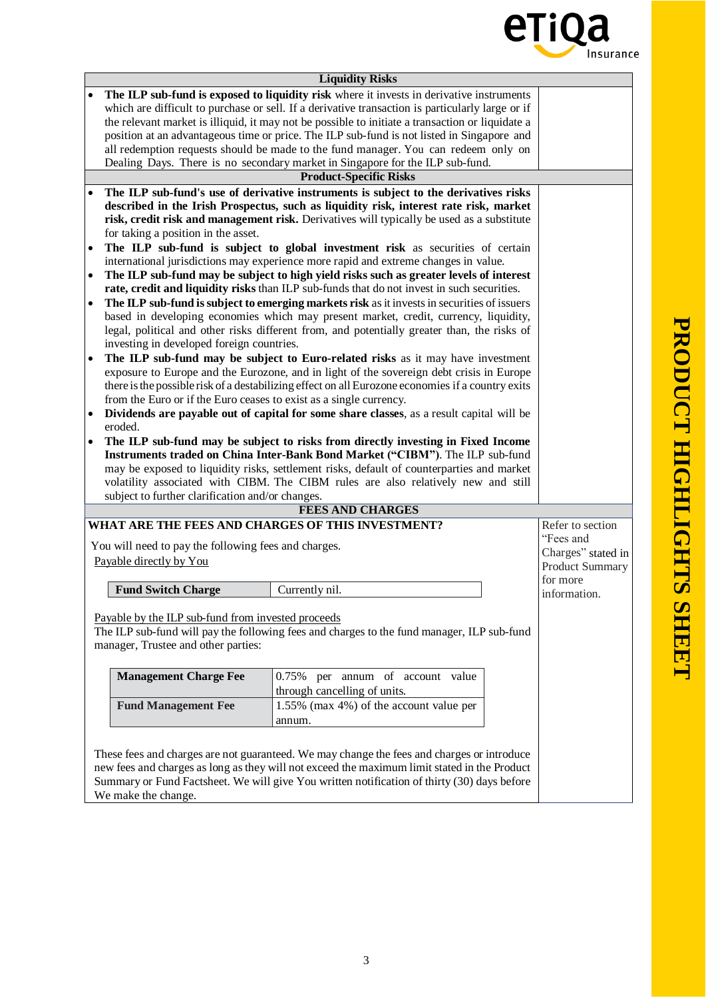

|           |                                                                                                                                                                                                                                                                                                                                                                                                         | <b>Liquidity Risks</b>                                                                            |                  |  |  |  |
|-----------|---------------------------------------------------------------------------------------------------------------------------------------------------------------------------------------------------------------------------------------------------------------------------------------------------------------------------------------------------------------------------------------------------------|---------------------------------------------------------------------------------------------------|------------------|--|--|--|
|           | The ILP sub-fund is exposed to liquidity risk where it invests in derivative instruments                                                                                                                                                                                                                                                                                                                |                                                                                                   |                  |  |  |  |
|           | which are difficult to purchase or sell. If a derivative transaction is particularly large or if                                                                                                                                                                                                                                                                                                        |                                                                                                   |                  |  |  |  |
|           | the relevant market is illiquid, it may not be possible to initiate a transaction or liquidate a                                                                                                                                                                                                                                                                                                        |                                                                                                   |                  |  |  |  |
|           | position at an advantageous time or price. The ILP sub-fund is not listed in Singapore and                                                                                                                                                                                                                                                                                                              |                                                                                                   |                  |  |  |  |
|           | all redemption requests should be made to the fund manager. You can redeem only on                                                                                                                                                                                                                                                                                                                      |                                                                                                   |                  |  |  |  |
|           | Dealing Days. There is no secondary market in Singapore for the ILP sub-fund.                                                                                                                                                                                                                                                                                                                           |                                                                                                   |                  |  |  |  |
|           |                                                                                                                                                                                                                                                                                                                                                                                                         | <b>Product-Specific Risks</b>                                                                     |                  |  |  |  |
|           |                                                                                                                                                                                                                                                                                                                                                                                                         | The ILP sub-fund's use of derivative instruments is subject to the derivatives risks              |                  |  |  |  |
|           |                                                                                                                                                                                                                                                                                                                                                                                                         | described in the Irish Prospectus, such as liquidity risk, interest rate risk, market             |                  |  |  |  |
|           | risk, credit risk and management risk. Derivatives will typically be used as a substitute                                                                                                                                                                                                                                                                                                               |                                                                                                   |                  |  |  |  |
|           | for taking a position in the asset.                                                                                                                                                                                                                                                                                                                                                                     |                                                                                                   |                  |  |  |  |
| $\bullet$ | The ILP sub-fund is subject to global investment risk as securities of certain                                                                                                                                                                                                                                                                                                                          |                                                                                                   |                  |  |  |  |
|           | international jurisdictions may experience more rapid and extreme changes in value.                                                                                                                                                                                                                                                                                                                     |                                                                                                   |                  |  |  |  |
|           |                                                                                                                                                                                                                                                                                                                                                                                                         | The ILP sub-fund may be subject to high yield risks such as greater levels of interest            |                  |  |  |  |
|           |                                                                                                                                                                                                                                                                                                                                                                                                         | rate, credit and liquidity risks than ILP sub-funds that do not invest in such securities.        |                  |  |  |  |
|           | The ILP sub-fund is subject to emerging markets risk as it invests in securities of issuers                                                                                                                                                                                                                                                                                                             |                                                                                                   |                  |  |  |  |
|           |                                                                                                                                                                                                                                                                                                                                                                                                         | based in developing economies which may present market, credit, currency, liquidity,              |                  |  |  |  |
|           |                                                                                                                                                                                                                                                                                                                                                                                                         | legal, political and other risks different from, and potentially greater than, the risks of       |                  |  |  |  |
|           | investing in developed foreign countries.                                                                                                                                                                                                                                                                                                                                                               |                                                                                                   |                  |  |  |  |
|           | The ILP sub-fund may be subject to Euro-related risks as it may have investment                                                                                                                                                                                                                                                                                                                         |                                                                                                   |                  |  |  |  |
|           |                                                                                                                                                                                                                                                                                                                                                                                                         | exposure to Europe and the Eurozone, and in light of the sovereign debt crisis in Europe          |                  |  |  |  |
|           |                                                                                                                                                                                                                                                                                                                                                                                                         | there is the possible risk of a destabilizing effect on all Eurozone economies if a country exits |                  |  |  |  |
|           | from the Euro or if the Euro ceases to exist as a single currency.                                                                                                                                                                                                                                                                                                                                      |                                                                                                   |                  |  |  |  |
|           |                                                                                                                                                                                                                                                                                                                                                                                                         | Dividends are payable out of capital for some share classes, as a result capital will be          |                  |  |  |  |
|           | eroded.                                                                                                                                                                                                                                                                                                                                                                                                 |                                                                                                   |                  |  |  |  |
|           | The ILP sub-fund may be subject to risks from directly investing in Fixed Income<br>Instruments traded on China Inter-Bank Bond Market ("CIBM"). The ILP sub-fund<br>may be exposed to liquidity risks, settlement risks, default of counterparties and market<br>volatility associated with CIBM. The CIBM rules are also relatively new and still<br>subject to further clarification and/or changes. |                                                                                                   |                  |  |  |  |
|           |                                                                                                                                                                                                                                                                                                                                                                                                         | <b>FEES AND CHARGES</b>                                                                           |                  |  |  |  |
|           |                                                                                                                                                                                                                                                                                                                                                                                                         | WHAT ARE THE FEES AND CHARGES OF THIS INVESTMENT?                                                 | Refer to section |  |  |  |
|           |                                                                                                                                                                                                                                                                                                                                                                                                         |                                                                                                   | "Fees and        |  |  |  |
|           | You will need to pay the following fees and charges.                                                                                                                                                                                                                                                                                                                                                    |                                                                                                   |                  |  |  |  |
|           | Payable directly by You                                                                                                                                                                                                                                                                                                                                                                                 |                                                                                                   |                  |  |  |  |
|           |                                                                                                                                                                                                                                                                                                                                                                                                         |                                                                                                   | for more         |  |  |  |
|           | <b>Fund Switch Charge</b>                                                                                                                                                                                                                                                                                                                                                                               | Currently nil.                                                                                    | information.     |  |  |  |
|           |                                                                                                                                                                                                                                                                                                                                                                                                         |                                                                                                   |                  |  |  |  |
|           | Payable by the ILP sub-fund from invested proceeds                                                                                                                                                                                                                                                                                                                                                      |                                                                                                   |                  |  |  |  |
|           |                                                                                                                                                                                                                                                                                                                                                                                                         | The ILP sub-fund will pay the following fees and charges to the fund manager, ILP sub-fund        |                  |  |  |  |
|           | manager, Trustee and other parties:                                                                                                                                                                                                                                                                                                                                                                     |                                                                                                   |                  |  |  |  |
|           |                                                                                                                                                                                                                                                                                                                                                                                                         |                                                                                                   |                  |  |  |  |
|           | <b>Management Charge Fee</b>                                                                                                                                                                                                                                                                                                                                                                            | 0.75% per annum of account value                                                                  |                  |  |  |  |
|           |                                                                                                                                                                                                                                                                                                                                                                                                         | through cancelling of units.                                                                      |                  |  |  |  |
|           | <b>Fund Management Fee</b>                                                                                                                                                                                                                                                                                                                                                                              | 1.55% (max 4%) of the account value per                                                           |                  |  |  |  |
|           | annum.                                                                                                                                                                                                                                                                                                                                                                                                  |                                                                                                   |                  |  |  |  |
|           |                                                                                                                                                                                                                                                                                                                                                                                                         |                                                                                                   |                  |  |  |  |
|           |                                                                                                                                                                                                                                                                                                                                                                                                         |                                                                                                   |                  |  |  |  |
|           |                                                                                                                                                                                                                                                                                                                                                                                                         | These fees and charges are not guaranteed. We may change the fees and charges or introduce        |                  |  |  |  |
|           |                                                                                                                                                                                                                                                                                                                                                                                                         | new fees and charges as long as they will not exceed the maximum limit stated in the Product      |                  |  |  |  |
|           |                                                                                                                                                                                                                                                                                                                                                                                                         | Summary or Fund Factsheet. We will give You written notification of thirty (30) days before       |                  |  |  |  |
|           | We make the change.                                                                                                                                                                                                                                                                                                                                                                                     |                                                                                                   |                  |  |  |  |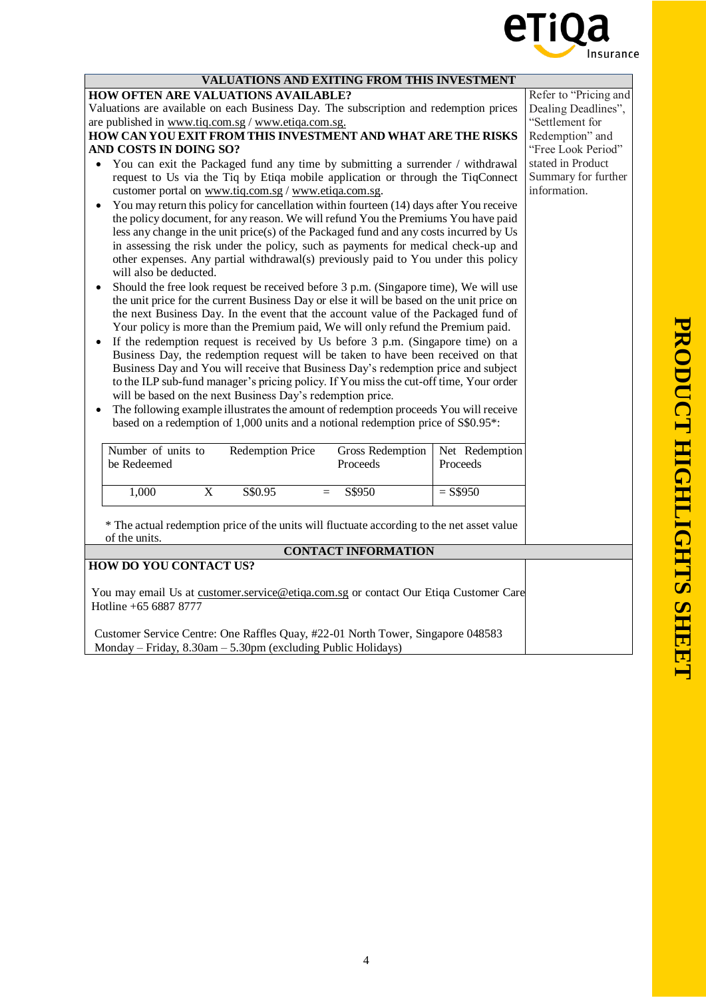

| VALUATIONS AND EXITING FROM THIS INVESTMENT<br><b>HOW OFTEN ARE VALUATIONS AVAILABLE?</b><br>Valuations are available on each Business Day. The subscription and redemption prices<br>are published in www.tiq.com.sg / www.etiqa.com.sg.<br>HOW CAN YOU EXIT FROM THIS INVESTMENT AND WHAT ARE THE RISKS<br>AND COSTS IN DOING SO?<br>You can exit the Packaged fund any time by submitting a surrender / withdrawal<br>request to Us via the Tiq by Etiqa mobile application or through the TiqConnect<br>customer portal on www.tiq.com.sg / www.etiqa.com.sg.<br>You may return this policy for cancellation within fourteen (14) days after You receive<br>the policy document, for any reason. We will refund You the Premiums You have paid<br>less any change in the unit price(s) of the Packaged fund and any costs incurred by Us<br>in assessing the risk under the policy, such as payments for medical check-up and<br>other expenses. Any partial withdrawal(s) previously paid to You under this policy<br>will also be deducted.<br>Should the free look request be received before 3 p.m. (Singapore time), We will use<br>the unit price for the current Business Day or else it will be based on the unit price on<br>the next Business Day. In the event that the account value of the Packaged fund of<br>Your policy is more than the Premium paid, We will only refund the Premium paid.<br>If the redemption request is received by Us before 3 p.m. (Singapore time) on a<br>Business Day, the redemption request will be taken to have been received on that<br>Business Day and You will receive that Business Day's redemption price and subject<br>to the ILP sub-fund manager's pricing policy. If You miss the cut-off time, Your order<br>will be based on the next Business Day's redemption price.<br>The following example illustrates the amount of redemption proceeds You will receive |                                          | Refer to "Pricing and<br>Dealing Deadlines",<br>"Settlement for<br>Redemption" and<br>"Free Look Period"<br>stated in Product<br>Summary for further<br>information. |
|-------------------------------------------------------------------------------------------------------------------------------------------------------------------------------------------------------------------------------------------------------------------------------------------------------------------------------------------------------------------------------------------------------------------------------------------------------------------------------------------------------------------------------------------------------------------------------------------------------------------------------------------------------------------------------------------------------------------------------------------------------------------------------------------------------------------------------------------------------------------------------------------------------------------------------------------------------------------------------------------------------------------------------------------------------------------------------------------------------------------------------------------------------------------------------------------------------------------------------------------------------------------------------------------------------------------------------------------------------------------------------------------------------------------------------------------------------------------------------------------------------------------------------------------------------------------------------------------------------------------------------------------------------------------------------------------------------------------------------------------------------------------------------------------------------------------------------------------------------------------------------------------------------------------------------|------------------------------------------|----------------------------------------------------------------------------------------------------------------------------------------------------------------------|
| based on a redemption of 1,000 units and a notional redemption price of S\$0.95*:<br>Number of units to<br>Redemption Price<br>Gross Redemption<br>be Redeemed<br>Proceeds<br>$\overline{\mathbf{X}}$<br>S\$0.95<br>1,000<br>S\$950<br>$=$<br>* The actual redemption price of the units will fluctuate according to the net asset value<br>of the units.                                                                                                                                                                                                                                                                                                                                                                                                                                                                                                                                                                                                                                                                                                                                                                                                                                                                                                                                                                                                                                                                                                                                                                                                                                                                                                                                                                                                                                                                                                                                                                     | Net Redemption<br>Proceeds<br>$=$ S\$950 |                                                                                                                                                                      |
| <b>CONTACT INFORMATION</b>                                                                                                                                                                                                                                                                                                                                                                                                                                                                                                                                                                                                                                                                                                                                                                                                                                                                                                                                                                                                                                                                                                                                                                                                                                                                                                                                                                                                                                                                                                                                                                                                                                                                                                                                                                                                                                                                                                    |                                          |                                                                                                                                                                      |
| <b>HOW DO YOU CONTACT US?</b>                                                                                                                                                                                                                                                                                                                                                                                                                                                                                                                                                                                                                                                                                                                                                                                                                                                                                                                                                                                                                                                                                                                                                                                                                                                                                                                                                                                                                                                                                                                                                                                                                                                                                                                                                                                                                                                                                                 |                                          |                                                                                                                                                                      |
| You may email Us at customer.service@etiqa.com.sg or contact Our Etiqa Customer Care<br>Hotline +65 6887 8777<br>Customer Service Centre: One Raffles Quay, #22-01 North Tower, Singapore 048583<br>Monday - Friday, 8.30am - 5.30pm (excluding Public Holidays)                                                                                                                                                                                                                                                                                                                                                                                                                                                                                                                                                                                                                                                                                                                                                                                                                                                                                                                                                                                                                                                                                                                                                                                                                                                                                                                                                                                                                                                                                                                                                                                                                                                              |                                          |                                                                                                                                                                      |
|                                                                                                                                                                                                                                                                                                                                                                                                                                                                                                                                                                                                                                                                                                                                                                                                                                                                                                                                                                                                                                                                                                                                                                                                                                                                                                                                                                                                                                                                                                                                                                                                                                                                                                                                                                                                                                                                                                                               |                                          |                                                                                                                                                                      |